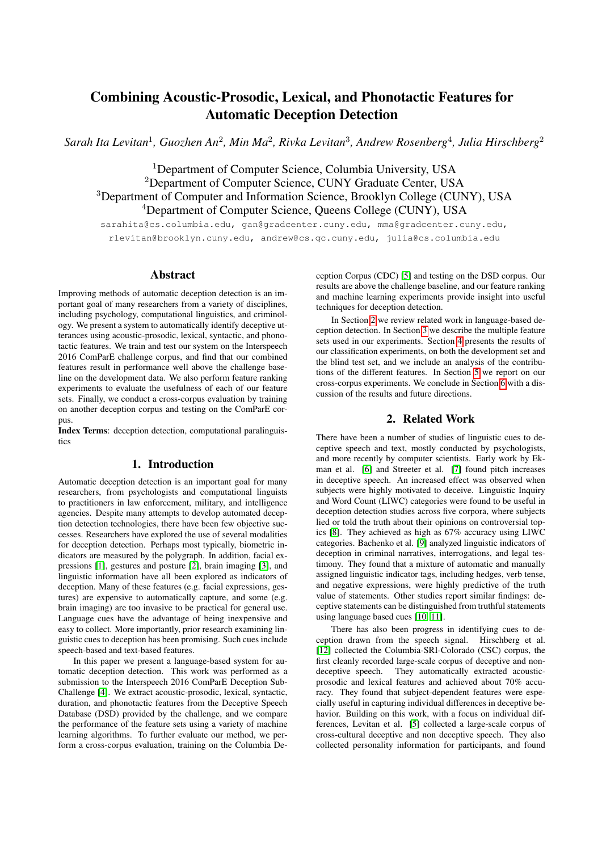# Combining Acoustic-Prosodic, Lexical, and Phonotactic Features for Automatic Deception Detection

 $S$ arah Ita Levitan<sup>1</sup>, Guozhen An<sup>2</sup>, Min Ma<sup>2</sup>, Rivka Levitan<sup>3</sup>, Andrew Rosenberg<sup>4</sup>, Julia Hirschberg<sup>2</sup>

<sup>1</sup>Department of Computer Science, Columbia University, USA Department of Computer Science, CUNY Graduate Center, USA Department of Computer and Information Science, Brooklyn College (CUNY), USA Department of Computer Science, Queens College (CUNY), USA

sarahita@cs.columbia.edu, gan@gradcenter.cuny.edu, mma@gradcenter.cuny.edu, rlevitan@brooklyn.cuny.edu, andrew@cs.qc.cuny.edu, julia@cs.columbia.edu

### Abstract

Improving methods of automatic deception detection is an important goal of many researchers from a variety of disciplines, including psychology, computational linguistics, and criminology. We present a system to automatically identify deceptive utterances using acoustic-prosodic, lexical, syntactic, and phonotactic features. We train and test our system on the Interspeech 2016 ComParE challenge corpus, and find that our combined features result in performance well above the challenge baseline on the development data. We also perform feature ranking experiments to evaluate the usefulness of each of our feature sets. Finally, we conduct a cross-corpus evaluation by training on another deception corpus and testing on the ComParE corpus.

Index Terms: deception detection, computational paralinguistics

# 1. Introduction

Automatic deception detection is an important goal for many researchers, from psychologists and computational linguists to practitioners in law enforcement, military, and intelligence agencies. Despite many attempts to develop automated deception detection technologies, there have been few objective successes. Researchers have explored the use of several modalities for deception detection. Perhaps most typically, biometric indicators are measured by the polygraph. In addition, facial expressions [\[1\]](#page-4-0), gestures and posture [\[2\]](#page-4-1), brain imaging [\[3\]](#page-4-2), and linguistic information have all been explored as indicators of deception. Many of these features (e.g. facial expressions, gestures) are expensive to automatically capture, and some (e.g. brain imaging) are too invasive to be practical for general use. Language cues have the advantage of being inexpensive and easy to collect. More importantly, prior research examining linguistic cues to deception has been promising. Such cues include speech-based and text-based features.

In this paper we present a language-based system for automatic deception detection. This work was performed as a submission to the Interspeech 2016 ComParE Deception Sub-Challenge [\[4\]](#page-4-3). We extract acoustic-prosodic, lexical, syntactic, duration, and phonotactic features from the Deceptive Speech Database (DSD) provided by the challenge, and we compare the performance of the feature sets using a variety of machine learning algorithms. To further evaluate our method, we perform a cross-corpus evaluation, training on the Columbia Deception Corpus (CDC) [\[5\]](#page-4-4) and testing on the DSD corpus. Our results are above the challenge baseline, and our feature ranking and machine learning experiments provide insight into useful techniques for deception detection.

In Section [2](#page-0-0) we review related work in language-based deception detection. In Section [3](#page-1-0) we describe the multiple feature sets used in our experiments. Section [4](#page-2-0) presents the results of our classification experiments, on both the development set and the blind test set, and we include an analysis of the contributions of the different features. In Section [5](#page-3-0) we report on our cross-corpus experiments. We conclude in Section [6](#page-3-1) with a discussion of the results and future directions.

# 2. Related Work

<span id="page-0-0"></span>There have been a number of studies of linguistic cues to deceptive speech and text, mostly conducted by psychologists, and more recently by computer scientists. Early work by Ekman et al. [\[6\]](#page-4-5) and Streeter et al. [\[7\]](#page-4-6) found pitch increases in deceptive speech. An increased effect was observed when subjects were highly motivated to deceive. Linguistic Inquiry and Word Count (LIWC) categories were found to be useful in deception detection studies across five corpora, where subjects lied or told the truth about their opinions on controversial topics [\[8\]](#page-4-7). They achieved as high as 67% accuracy using LIWC categories. Bachenko et al. [\[9\]](#page-4-8) analyzed linguistic indicators of deception in criminal narratives, interrogations, and legal testimony. They found that a mixture of automatic and manually assigned linguistic indicator tags, including hedges, verb tense, and negative expressions, were highly predictive of the truth value of statements. Other studies report similar findings: deceptive statements can be distinguished from truthful statements using language based cues [\[10,](#page-4-9) [11\]](#page-4-10).

There has also been progress in identifying cues to deception drawn from the speech signal. Hirschberg et al. [\[12\]](#page-4-11) collected the Columbia-SRI-Colorado (CSC) corpus, the first cleanly recorded large-scale corpus of deceptive and nondeceptive speech. They automatically extracted acousticprosodic and lexical features and achieved about 70% accuracy. They found that subject-dependent features were especially useful in capturing individual differences in deceptive behavior. Building on this work, with a focus on individual differences, Levitan et al. [\[5\]](#page-4-4) collected a large-scale corpus of cross-cultural deceptive and non deceptive speech. They also collected personality information for participants, and found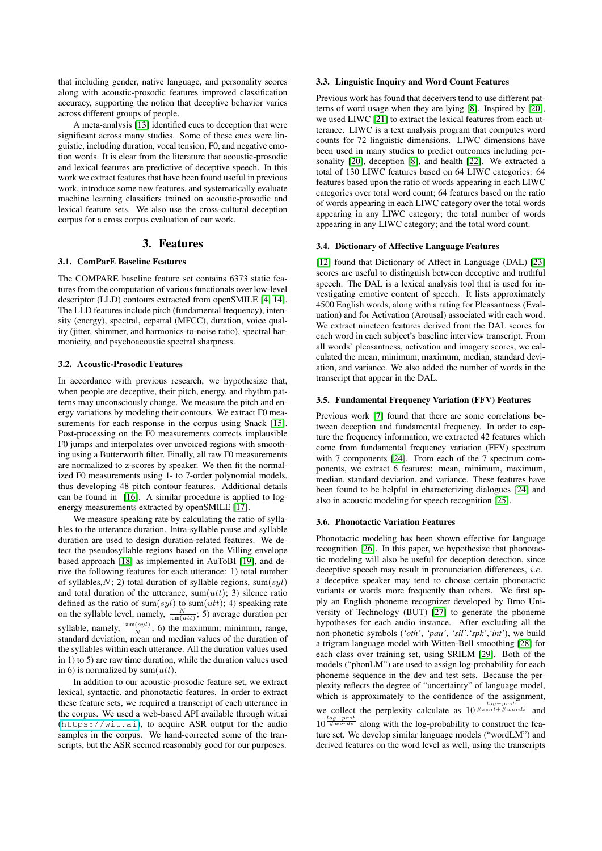that including gender, native language, and personality scores along with acoustic-prosodic features improved classification accuracy, supporting the notion that deceptive behavior varies across different groups of people.

A meta-analysis [\[13\]](#page-4-12) identified cues to deception that were significant across many studies. Some of these cues were linguistic, including duration, vocal tension, F0, and negative emotion words. It is clear from the literature that acoustic-prosodic and lexical features are predictive of deceptive speech. In this work we extract features that have been found useful in previous work, introduce some new features, and systematically evaluate machine learning classifiers trained on acoustic-prosodic and lexical feature sets. We also use the cross-cultural deception corpus for a cross corpus evaluation of our work.

## 3. Features

### <span id="page-1-0"></span>3.1. ComParE Baseline Features

The COMPARE baseline feature set contains 6373 static features from the computation of various functionals over low-level descriptor (LLD) contours extracted from openSMILE [\[4,](#page-4-3) [14\]](#page-4-13). The LLD features include pitch (fundamental frequency), intensity (energy), spectral, cepstral (MFCC), duration, voice quality (jitter, shimmer, and harmonics-to-noise ratio), spectral harmonicity, and psychoacoustic spectral sharpness.

### 3.2. Acoustic-Prosodic Features

In accordance with previous research, we hypothesize that, when people are deceptive, their pitch, energy, and rhythm patterns may unconsciously change. We measure the pitch and energy variations by modeling their contours. We extract F0 mea-surements for each response in the corpus using Snack [\[15\]](#page-4-14). Post-processing on the F0 measurements corrects implausible F0 jumps and interpolates over unvoiced regions with smoothing using a Butterworth filter. Finally, all raw F0 measurements are normalized to z-scores by speaker. We then fit the normalized F0 measurements using 1- to 7-order polynomial models, thus developing 48 pitch contour features. Additional details can be found in [\[16\]](#page-4-15). A similar procedure is applied to logenergy measurements extracted by openSMILE [\[17\]](#page-4-16).

We measure speaking rate by calculating the ratio of syllables to the utterance duration. Intra-syllable pause and syllable duration are used to design duration-related features. We detect the pseudosyllable regions based on the Villing envelope based approach [\[18\]](#page-4-17) as implemented in AuToBI [\[19\]](#page-4-18), and derive the following features for each utterance: 1) total number of syllables,  $N$ ; 2) total duration of syllable regions, sum(syl) and total duration of the utterance, sum $(utt)$ ; 3) silence ratio defined as the ratio of sum(syl) to sum(utt); 4) speaking rate on the syllable level, namely,  $\frac{N}{\text{sum}(utt)}$ ; 5) average duration per syllable, namely,  $\frac{\text{sum}(syl)}{N}$ ; 6) the maximum, minimum, range, standard deviation, mean and median values of the duration of the syllables within each utterance. All the duration values used in 1) to 5) are raw time duration, while the duration values used in 6) is normalized by sum $(utt)$ .

In addition to our acoustic-prosodic feature set, we extract lexical, syntactic, and phonotactic features. In order to extract these feature sets, we required a transcript of each utterance in the corpus. We used a web-based API available through wit.ai (<https://wit.ai>), to acquire ASR output for the audio samples in the corpus. We hand-corrected some of the transcripts, but the ASR seemed reasonably good for our purposes.

### 3.3. Linguistic Inquiry and Word Count Features

Previous work has found that deceivers tend to use different patterns of word usage when they are lying [\[8\]](#page-4-7). Inspired by [\[20\]](#page-4-19), we used LIWC [\[21\]](#page-4-20) to extract the lexical features from each utterance. LIWC is a text analysis program that computes word counts for 72 linguistic dimensions. LIWC dimensions have been used in many studies to predict outcomes including personality [\[20\]](#page-4-19), deception [\[8\]](#page-4-7), and health [\[22\]](#page-4-21). We extracted a total of 130 LIWC features based on 64 LIWC categories: 64 features based upon the ratio of words appearing in each LIWC categories over total word count; 64 features based on the ratio of words appearing in each LIWC category over the total words appearing in any LIWC category; the total number of words appearing in any LIWC category; and the total word count.

#### 3.4. Dictionary of Affective Language Features

[\[12\]](#page-4-11) found that Dictionary of Affect in Language (DAL) [\[23\]](#page-4-22) scores are useful to distinguish between deceptive and truthful speech. The DAL is a lexical analysis tool that is used for investigating emotive content of speech. It lists approximately 4500 English words, along with a rating for Pleasantness (Evaluation) and for Activation (Arousal) associated with each word. We extract nineteen features derived from the DAL scores for each word in each subject's baseline interview transcript. From all words' pleasantness, activation and imagery scores, we calculated the mean, minimum, maximum, median, standard deviation, and variance. We also added the number of words in the transcript that appear in the DAL.

#### 3.5. Fundamental Frequency Variation (FFV) Features

Previous work [\[7\]](#page-4-6) found that there are some correlations between deception and fundamental frequency. In order to capture the frequency information, we extracted 42 features which come from fundamental frequency variation (FFV) spectrum with 7 components [\[24\]](#page-4-23). From each of the 7 spectrum components, we extract 6 features: mean, minimum, maximum, median, standard deviation, and variance. These features have been found to be helpful in characterizing dialogues [\[24\]](#page-4-23) and also in acoustic modeling for speech recognition [\[25\]](#page-4-24).

#### 3.6. Phonotactic Variation Features

Phonotactic modeling has been shown effective for language recognition [\[26\]](#page-4-25). In this paper, we hypothesize that phonotactic modeling will also be useful for deception detection, since deceptive speech may result in pronunciation differences, *i.e.* a deceptive speaker may tend to choose certain phonotactic variants or words more frequently than others. We first apply an English phoneme recognizer developed by Brno University of Technology (BUT) [\[27\]](#page-4-26) to generate the phoneme hypotheses for each audio instance. After excluding all the non-phonetic symbols (*'oth'*, *'pau'*, *'sil'*,*'spk'*,*'int'*), we build a trigram language model with Witten-Bell smoothing [\[28\]](#page-4-27) for each class over training set, using SRILM [\[29\]](#page-4-28). Both of the models ("phonLM") are used to assign log-probability for each phoneme sequence in the dev and test sets. Because the perplexity reflects the degree of "uncertainty" of language model, which is approximately to the confidence of the assignment, we collect the perplexity calculate as  $10^{\frac{log-prob}{\# sent+\# words}}$  and  $10^{\frac{\log - \text{prob}}{\text{\#} \text{words}}}$  along with the log-probability to construct the feature set. We develop similar language models ("wordLM") and derived features on the word level as well, using the transcripts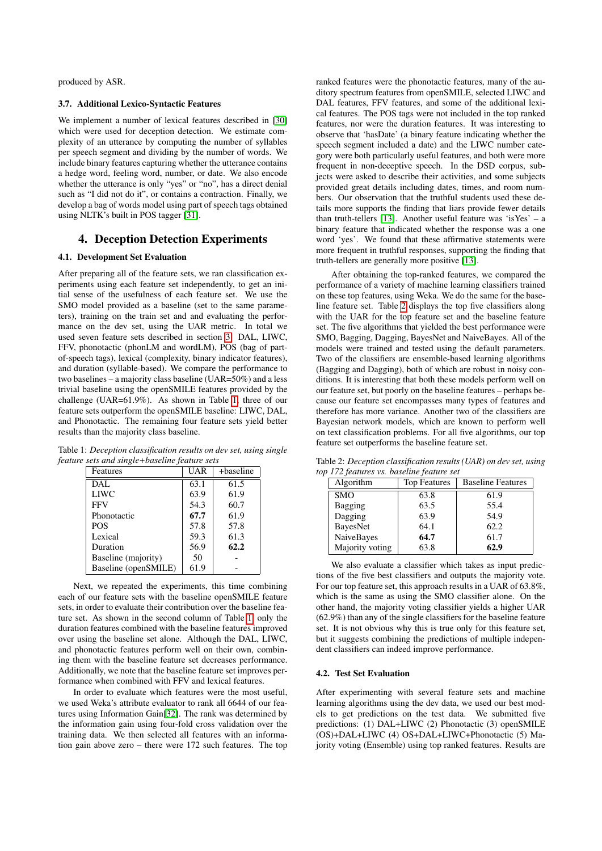produced by ASR.

#### 3.7. Additional Lexico-Syntactic Features

We implement a number of lexical features described in [\[30\]](#page-4-29) which were used for deception detection. We estimate complexity of an utterance by computing the number of syllables per speech segment and dividing by the number of words. We include binary features capturing whether the utterance contains a hedge word, feeling word, number, or date. We also encode whether the utterance is only "yes" or "no", has a direct denial such as "I did not do it", or contains a contraction. Finally, we develop a bag of words model using part of speech tags obtained using NLTK's built in POS tagger [\[31\]](#page-4-30).

# <span id="page-2-0"></span>4. Deception Detection Experiments

#### 4.1. Development Set Evaluation

After preparing all of the feature sets, we ran classification experiments using each feature set independently, to get an initial sense of the usefulness of each feature set. We use the SMO model provided as a baseline (set to the same parameters), training on the train set and and evaluating the performance on the dev set, using the UAR metric. In total we used seven feature sets described in section [3:](#page-1-0) DAL, LIWC, FFV, phonotactic (phonLM and wordLM), POS (bag of partof-speech tags), lexical (complexity, binary indicator features), and duration (syllable-based). We compare the performance to two baselines – a majority class baseline (UAR=50%) and a less trivial baseline using the openSMILE features provided by the challenge (UAR=61.9%). As shown in Table [1,](#page-2-1) three of our feature sets outperform the openSMILE baseline: LIWC, DAL, and Phonotactic. The remaining four feature sets yield better results than the majority class baseline.

Table 1: *Deception classification results on dev set, using single feature sets and single+baseline feature sets*

<span id="page-2-1"></span>

| Features             | <b>UAR</b> | +baseline |
|----------------------|------------|-----------|
| DAL.                 | 63.1       | 61.5      |
| <b>LIWC</b>          | 63.9       | 61.9      |
| <b>FFV</b>           | 54.3       | 60.7      |
| Phonotactic          | 67.7       | 61.9      |
| <b>POS</b>           | 57.8       | 57.8      |
| Lexical              | 59.3       | 61.3      |
| Duration             | 56.9       | 62.2      |
| Baseline (majority)  | 50         |           |
| Baseline (openSMILE) | 61.9       |           |

Next, we repeated the experiments, this time combining each of our feature sets with the baseline openSMILE feature sets, in order to evaluate their contribution over the baseline feature set. As shown in the second column of Table [1,](#page-2-1) only the duration features combined with the baseline features improved over using the baseline set alone. Although the DAL, LIWC, and phonotactic features perform well on their own, combining them with the baseline feature set decreases performance. Additionally, we note that the baseline feature set improves performance when combined with FFV and lexical features.

In order to evaluate which features were the most useful, we used Weka's attribute evaluator to rank all 6644 of our features using Information Gain[\[32\]](#page-4-31). The rank was determined by the information gain using four-fold cross validation over the training data. We then selected all features with an information gain above zero – there were 172 such features. The top

ranked features were the phonotactic features, many of the auditory spectrum features from openSMILE, selected LIWC and DAL features, FFV features, and some of the additional lexical features. The POS tags were not included in the top ranked features, nor were the duration features. It was interesting to observe that 'hasDate' (a binary feature indicating whether the speech segment included a date) and the LIWC number category were both particularly useful features, and both were more frequent in non-deceptive speech. In the DSD corpus, subjects were asked to describe their activities, and some subjects provided great details including dates, times, and room numbers. Our observation that the truthful students used these details more supports the finding that liars provide fewer details than truth-tellers [\[13\]](#page-4-12). Another useful feature was 'isYes' – a binary feature that indicated whether the response was a one word 'yes'. We found that these affirmative statements were more frequent in truthful responses, supporting the finding that truth-tellers are generally more positive [\[13\]](#page-4-12).

After obtaining the top-ranked features, we compared the performance of a variety of machine learning classifiers trained on these top features, using Weka. We do the same for the baseline feature set. Table [2](#page-2-2) displays the top five classifiers along with the UAR for the top feature set and the baseline feature set. The five algorithms that yielded the best performance were SMO, Bagging, Dagging, BayesNet and NaiveBayes. All of the models were trained and tested using the default parameters. Two of the classifiers are ensemble-based learning algorithms (Bagging and Dagging), both of which are robust in noisy conditions. It is interesting that both these models perform well on our feature set, but poorly on the baseline features – perhaps because our feature set encompasses many types of features and therefore has more variance. Another two of the classifiers are Bayesian network models, which are known to perform well on text classification problems. For all five algorithms, our top feature set outperforms the baseline feature set.

Table 2: *Deception classification results (UAR) on dev set, using top 172 features vs. baseline feature set*

<span id="page-2-2"></span>

| Algorithm       | <b>Top Features</b> | <b>Baseline Features</b> |
|-----------------|---------------------|--------------------------|
| <b>SMO</b>      | 63.8                | 61.9                     |
| Bagging         | 63.5                | 55.4                     |
| Dagging         | 63.9                | 54.9                     |
| BayesNet        | 64.1                | 62.2                     |
| NaiveBayes      | 64.7                | 61.7                     |
| Majority voting | 63.8                | 62.9                     |

We also evaluate a classifier which takes as input predictions of the five best classifiers and outputs the majority vote. For our top feature set, this approach results in a UAR of 63.8%, which is the same as using the SMO classifier alone. On the other hand, the majority voting classifier yields a higher UAR (62.9%) than any of the single classifiers for the baseline feature set. It is not obvious why this is true only for this feature set, but it suggests combining the predictions of multiple independent classifiers can indeed improve performance.

### 4.2. Test Set Evaluation

After experimenting with several feature sets and machine learning algorithms using the dev data, we used our best models to get predictions on the test data. We submitted five predictions: (1) DAL+LIWC (2) Phonotactic (3) openSMILE (OS)+DAL+LIWC (4) OS+DAL+LIWC+Phonotactic (5) Majority voting (Ensemble) using top ranked features. Results are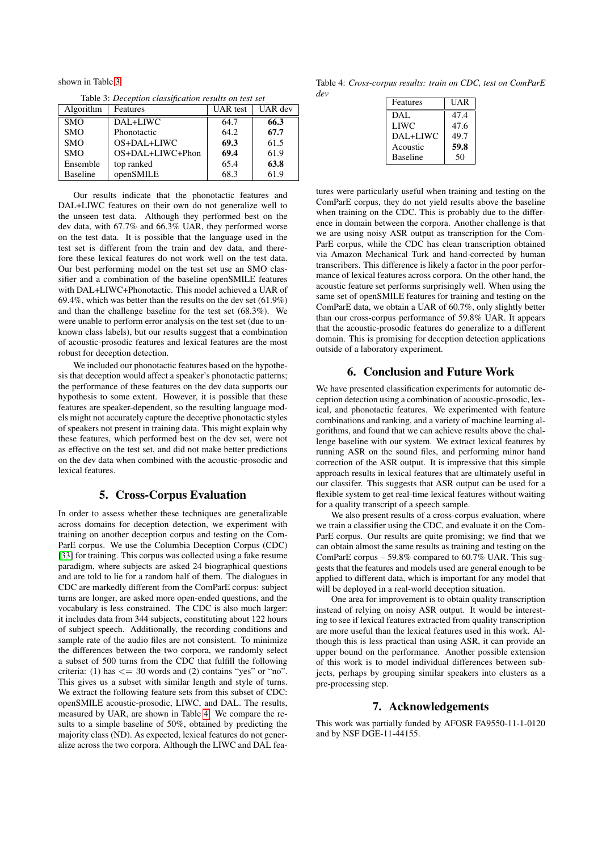shown in Table [3.](#page-3-2)

<span id="page-3-2"></span>Table 3: *Deception classification results on test set*

| Algorithm       | Features           | UAR test | UAR dev |
|-----------------|--------------------|----------|---------|
| <b>SMO</b>      | DAL+LIWC           | 64.7     | 66.3    |
| <b>SMO</b>      | Phonotactic        | 64.2     | 67.7    |
| <b>SMO</b>      | OS+DAL+LIWC        | 69.3     | 61.5    |
| <b>SMO</b>      | $OS+DAL+LIWC+Phon$ | 69.4     | 61.9    |
| Ensemble        | top ranked         | 65.4     | 63.8    |
| <b>Baseline</b> | openSMILE          | 68.3     | 61.9    |

Our results indicate that the phonotactic features and DAL+LIWC features on their own do not generalize well to the unseen test data. Although they performed best on the dev data, with 67.7% and 66.3% UAR, they performed worse on the test data. It is possible that the language used in the test set is different from the train and dev data, and therefore these lexical features do not work well on the test data. Our best performing model on the test set use an SMO classifier and a combination of the baseline openSMILE features with DAL+LIWC+Phonotactic. This model achieved a UAR of 69.4%, which was better than the results on the dev set (61.9%) and than the challenge baseline for the test set (68.3%). We were unable to perform error analysis on the test set (due to unknown class labels), but our results suggest that a combination of acoustic-prosodic features and lexical features are the most robust for deception detection.

We included our phonotactic features based on the hypothesis that deception would affect a speaker's phonotactic patterns; the performance of these features on the dev data supports our hypothesis to some extent. However, it is possible that these features are speaker-dependent, so the resulting language models might not accurately capture the deceptive phonotactic styles of speakers not present in training data. This might explain why these features, which performed best on the dev set, were not as effective on the test set, and did not make better predictions on the dev data when combined with the acoustic-prosodic and lexical features.

# 5. Cross-Corpus Evaluation

<span id="page-3-0"></span>In order to assess whether these techniques are generalizable across domains for deception detection, we experiment with training on another deception corpus and testing on the Com-ParE corpus. We use the Columbia Deception Corpus (CDC) [\[33\]](#page-4-32) for training. This corpus was collected using a fake resume paradigm, where subjects are asked 24 biographical questions and are told to lie for a random half of them. The dialogues in CDC are markedly different from the ComParE corpus: subject turns are longer, are asked more open-ended questions, and the vocabulary is less constrained. The CDC is also much larger: it includes data from 344 subjects, constituting about 122 hours of subject speech. Additionally, the recording conditions and sample rate of the audio files are not consistent. To minimize the differences between the two corpora, we randomly select a subset of 500 turns from the CDC that fulfill the following criteria: (1) has  $\leq$  = 30 words and (2) contains "yes" or "no". This gives us a subset with similar length and style of turns. We extract the following feature sets from this subset of CDC: openSMILE acoustic-prosodic, LIWC, and DAL. The results, measured by UAR, are shown in Table [4.](#page-3-3) We compare the results to a simple baseline of 50%, obtained by predicting the majority class (ND). As expected, lexical features do not generalize across the two corpora. Although the LIWC and DAL fea-

<span id="page-3-3"></span>Table 4: *Cross-corpus results: train on CDC, test on ComParE dev*

| Features        | UAR  |
|-----------------|------|
| DAL             | 47.4 |
| LIWC            | 47.6 |
| DAL+LIWC        | 49.7 |
| Acoustic        | 59.8 |
| <b>Baseline</b> | 50   |

tures were particularly useful when training and testing on the ComParE corpus, they do not yield results above the baseline when training on the CDC. This is probably due to the difference in domain between the corpora. Another challenge is that we are using noisy ASR output as transcription for the Com-ParE corpus, while the CDC has clean transcription obtained via Amazon Mechanical Turk and hand-corrected by human transcribers. This difference is likely a factor in the poor performance of lexical features across corpora. On the other hand, the acoustic feature set performs surprisingly well. When using the same set of openSMILE features for training and testing on the ComParE data, we obtain a UAR of 60.7%, only slightly better than our cross-corpus performance of 59.8% UAR. It appears that the acoustic-prosodic features do generalize to a different domain. This is promising for deception detection applications outside of a laboratory experiment.

# 6. Conclusion and Future Work

<span id="page-3-1"></span>We have presented classification experiments for automatic deception detection using a combination of acoustic-prosodic, lexical, and phonotactic features. We experimented with feature combinations and ranking, and a variety of machine learning algorithms, and found that we can achieve results above the challenge baseline with our system. We extract lexical features by running ASR on the sound files, and performing minor hand correction of the ASR output. It is impressive that this simple approach results in lexical features that are ultimately useful in our classifer. This suggests that ASR output can be used for a flexible system to get real-time lexical features without waiting for a quality transcript of a speech sample.

We also present results of a cross-corpus evaluation, where we train a classifier using the CDC, and evaluate it on the Com-ParE corpus. Our results are quite promising; we find that we can obtain almost the same results as training and testing on the ComParE corpus – 59.8% compared to 60.7% UAR. This suggests that the features and models used are general enough to be applied to different data, which is important for any model that will be deployed in a real-world deception situation.

One area for improvement is to obtain quality transcription instead of relying on noisy ASR output. It would be interesting to see if lexical features extracted from quality transcription are more useful than the lexical features used in this work. Although this is less practical than using ASR, it can provide an upper bound on the performance. Another possible extension of this work is to model individual differences between subjects, perhaps by grouping similar speakers into clusters as a pre-processing step.

# 7. Acknowledgements

This work was partially funded by AFOSR FA9550-11-1-0120 and by NSF DGE-11-44155.